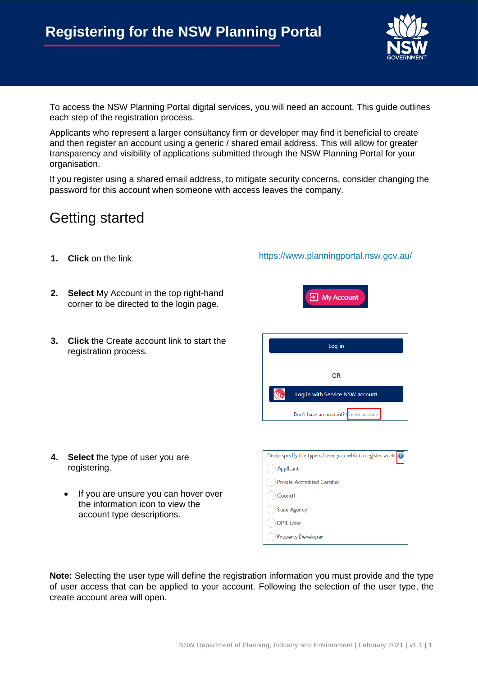

To access the NSW Planning Portal digital services, you will need an account. This guide outlines each step of the registration process.

Applicants who represent a larger consultancy firm or developer may find it beneficial to create and then register an account using a generic / shared email address. This will allow for greater transparency and visibility of applications submitted through the NSW Planning Portal for your organisation.

If you register using a shared email address, to mitigate security concerns, consider changing the password for this account when someone with access leaves the company.

## Getting started

- **1. Click** on the link. <https://www.planningportal.nsw.gov.au/>
- **2. Select** My Account in the top right-hand corner to be directed to the login page.
- **3. Click** the Create account link to start the registration process.



 $\overline{=}$  My Account

- **4. Select** the type of user you are registering.
	- If you are unsure you can hover over the information icon to view the account type descriptions.

| Please specify the type of user you wish to register as: * |
|------------------------------------------------------------|
| Applicant                                                  |
| <b>Private Accredited Certifier</b>                        |
| Council                                                    |
| <b>State Agency</b>                                        |
| <b>DPIE User</b>                                           |
| <b>Property Developer</b>                                  |

**Note:** Selecting the user type will define the registration information you must provide and the type of user access that can be applied to your account. Following the selection of the user type, the create account area will open.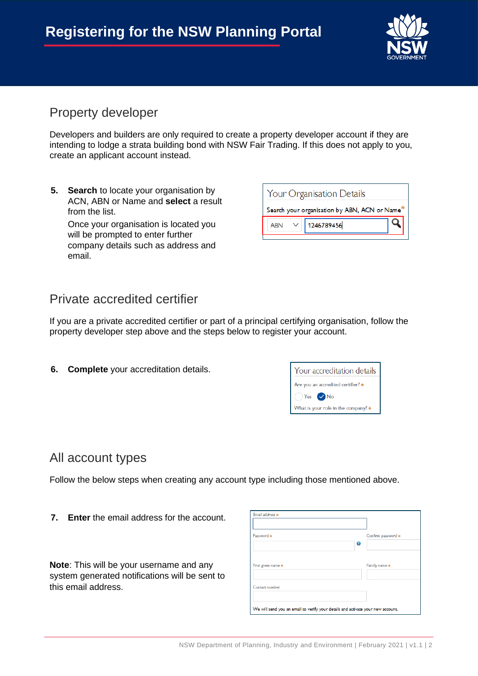

Q

#### Property developer

Developers and builders are only required to create a property developer account if they are intending to lodge a strata building bond with NSW Fair Trading. If this does not apply to you, create an applicant account instead.

**5. Search** to locate your organisation by ACN, ABN or Name and **select** a result from the list.

Once your organisation is located you will be prompted to enter further company details such as address and email.

| <b>Private accredited certifier</b> |  |
|-------------------------------------|--|
|-------------------------------------|--|

If you are a private accredited certifier or part of a principal certifying organisation, follow the property developer step above and the steps below to register your account.

**6. Complete** your accreditation details.

| Your accreditation details          |
|-------------------------------------|
| Are you an accredited certifier? *  |
| $Yes$ $\vee$ No                     |
| What is your role in the company? * |

**Your Organisation Details** 

**ABN** 

Search your organisation by ABN, ACN or Name\*

1246789456

#### All account types

Follow the below steps when creating any account type including those mentioned above.

**7. Enter** the email address for the account.

**Note**: This will be your username and any system generated notifications will be sent to this email address.

| Password *         | Confirm password * |
|--------------------|--------------------|
|                    | 0                  |
| First given name * | Family name *      |
| Contact number     |                    |
|                    |                    |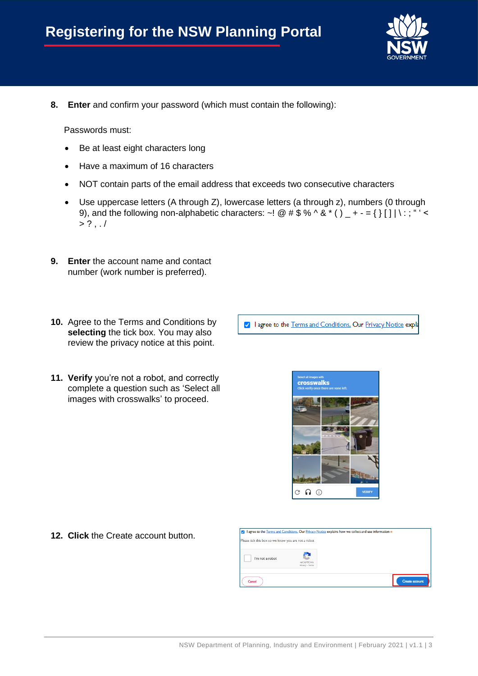

**8. Enter** and confirm your password (which must contain the following):

Passwords must:

- Be at least eight characters long
- Have a maximum of 16 characters
- NOT contain parts of the email address that exceeds two consecutive characters
- Use uppercase letters (A through Z), lowercase letters (a through z), numbers (0 through 9), and the following non-alphabetic characters: ~! @  $\#\$\% \^\&\%\^\&\'$  () \_ + - = { } [ ] | \:; " ' <  $> ?$  ,  $\ldots$
- **9. Enter** the account name and contact number (work number is preferred).
- **10.** Agree to the Terms and Conditions by **selecting** the tick box. You may also review the privacy notice at this point.
- **11. Verify** you're not a robot, and correctly complete a question such as 'Select all images with crosswalks' to proceed.

I lagree to the Terms and Conditions. Our Privacy Notice expla



**12. Click** the Create account button.

| Please tick this box so we know you are not a robot |                              |                       |
|-----------------------------------------------------|------------------------------|-----------------------|
| I'm not a robot                                     | reCAPTCHA<br>Privacy - Terms |                       |
| Cancel                                              |                              | <b>Create account</b> |